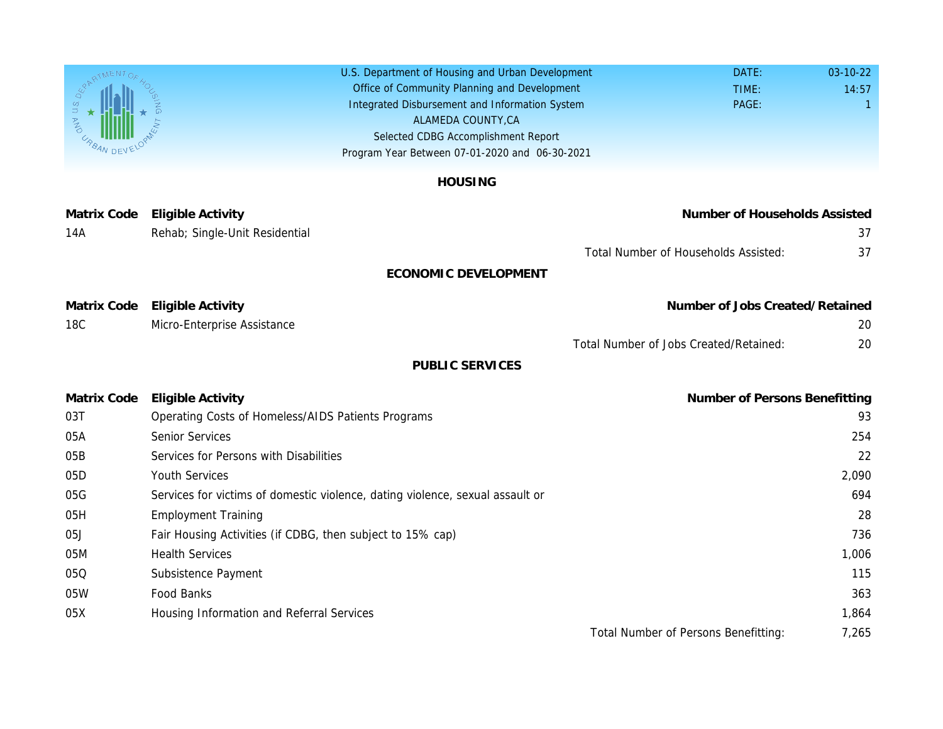U.S. Department of Housing and Urban Development Office of Community Planning and Development Integrated Disbursement and Information System Selected CDBG Accomplishment Report Program Year Between 07-01-2020 and 06-30-2021 ALAMEDA COUNTY,CA

## HOUSING

| <b>Matrix Code</b> | <b>Eligible Activity</b>                                                      | Number                              |
|--------------------|-------------------------------------------------------------------------------|-------------------------------------|
| 14A                | Rehab; Single-Unit Residential                                                |                                     |
|                    |                                                                               | <b>Total Number of Household</b>    |
|                    | <b>ECONOMIC DEVELOPMENT</b>                                                   |                                     |
| <b>Matrix Code</b> | <b>Eligible Activity</b>                                                      | Number of <b>Q</b>                  |
| <b>18C</b>         | Micro-Enterprise Assistance                                                   |                                     |
|                    |                                                                               | <b>Total Number of Jobs Created</b> |
|                    | <b>PUBLIC SERVICES</b>                                                        |                                     |
| <b>Matrix Code</b> | <b>Eligible Activity</b>                                                      | Number                              |
| 03T                | Operating Costs of Homeless/AIDS Patients Programs                            |                                     |
| 05A                | <b>Senior Services</b>                                                        |                                     |
| 05B                | Services for Persons with Disabilities                                        |                                     |
| 05D                | <b>Youth Services</b>                                                         |                                     |
| 05G                | Services for victims of domestic violence, dating violence, sexual assault or |                                     |
| 05H                | <b>Employment Training</b>                                                    |                                     |
| 05J                | Fair Housing Activities (if CDBG, then subject to 15% cap)                    |                                     |
| 05M                | <b>Health Services</b>                                                        |                                     |
| 05Q                | Subsistence Payment                                                           |                                     |
| 05W                | Food Banks                                                                    |                                     |
| 05X                | Housing Information and Referral Services                                     |                                     |
|                    |                                                                               | <b>Total Number of Persons I</b>    |